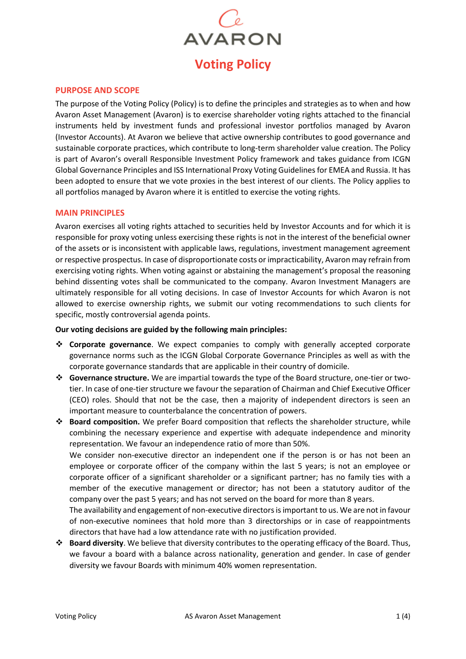

## **PURPOSE AND SCOPE**

The purpose of the Voting Policy (Policy) is to define the principles and strategies as to when and how Avaron Asset Management (Avaron) is to exercise shareholder voting rights attached to the financial instruments held by investment funds and professional investor portfolios managed by Avaron (Investor Accounts). At Avaron we believe that active ownership contributes to good governance and sustainable corporate practices, which contribute to long-term shareholder value creation. The Policy is part of Avaron's overall Responsible Investment Policy framework and takes guidance from ICGN Global Governance Principles and ISS International Proxy Voting Guidelines for EMEA and Russia. It has been adopted to ensure that we vote proxies in the best interest of our clients. The Policy applies to all portfolios managed by Avaron where it is entitled to exercise the voting rights.

### **MAIN PRINCIPLES**

Avaron exercises all voting rights attached to securities held by Investor Accounts and for which it is responsible for proxy voting unless exercising these rights is not in the interest of the beneficial owner of the assets or is inconsistent with applicable laws, regulations, investment management agreement or respective prospectus. In case of disproportionate costs or impracticability, Avaron may refrain from exercising voting rights. When voting against or abstaining the management's proposal the reasoning behind dissenting votes shall be communicated to the company. Avaron Investment Managers are ultimately responsible for all voting decisions. In case of Investor Accounts for which Avaron is not allowed to exercise ownership rights, we submit our voting recommendations to such clients for specific, mostly controversial agenda points.

### **Our voting decisions are guided by the following main principles:**

- ❖ **Corporate governance**. We expect companies to comply with generally accepted corporate governance norms such as the ICGN Global Corporate Governance Principles as well as with the corporate governance standards that are applicable in their country of domicile.
- ❖ **Governance structure.** We are impartial towards the type of the Board structure, one-tier or twotier. In case of one-tier structure we favour the separation of Chairman and Chief Executive Officer (CEO) roles. Should that not be the case, then a majority of independent directors is seen an important measure to counterbalance the concentration of powers.
- ❖ **Board composition.** We prefer Board composition that reflects the shareholder structure, while combining the necessary experience and expertise with adequate independence and minority representation. We favour an independence ratio of more than 50%. We consider non-executive director an independent one if the person is or has not been an employee or corporate officer of the company within the last 5 years; is not an employee or corporate officer of a significant shareholder or a significant partner; has no family ties with a member of the executive management or director; has not been a statutory auditor of the company over the past 5 years; and has not served on the board for more than 8 years. The availability and engagement of non-executive directors is important to us. We are not in favour of non-executive nominees that hold more than 3 directorships or in case of reappointments directors that have had a low attendance rate with no justification provided.
- ❖ **Board diversity**. We believe that diversity contributes to the operating efficacy of the Board. Thus, we favour a board with a balance across nationality, generation and gender. In case of gender diversity we favour Boards with minimum 40% women representation.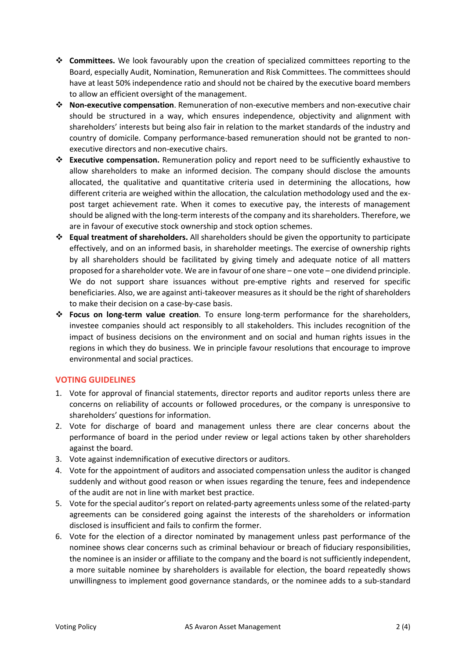- ❖ **Committees.** We look favourably upon the creation of specialized committees reporting to the Board, especially Audit, Nomination, Remuneration and Risk Committees. The committees should have at least 50% independence ratio and should not be chaired by the executive board members to allow an efficient oversight of the management.
- ❖ **Non-executive compensation**. Remuneration of non-executive members and non-executive chair should be structured in a way, which ensures independence, objectivity and alignment with shareholders' interests but being also fair in relation to the market standards of the industry and country of domicile. Company performance-based remuneration should not be granted to nonexecutive directors and non-executive chairs.
- ❖ **Executive compensation.** Remuneration policy and report need to be sufficiently exhaustive to allow shareholders to make an informed decision. The company should disclose the amounts allocated, the qualitative and quantitative criteria used in determining the allocations, how different criteria are weighed within the allocation, the calculation methodology used and the expost target achievement rate. When it comes to executive pay, the interests of management should be aligned with the long-term interests of the company and its shareholders. Therefore, we are in favour of executive stock ownership and stock option schemes.
- ❖ **Equal treatment of shareholders.** All shareholders should be given the opportunity to participate effectively, and on an informed basis, in shareholder meetings. The exercise of ownership rights by all shareholders should be facilitated by giving timely and adequate notice of all matters proposed for a shareholder vote. We are in favour of one share – one vote – one dividend principle. We do not support share issuances without pre-emptive rights and reserved for specific beneficiaries. Also, we are against anti-takeover measures as it should be the right of shareholders to make their decision on a case-by-case basis.
- ❖ **Focus on long-term value creation**. To ensure long-term performance for the shareholders, investee companies should act responsibly to all stakeholders. This includes recognition of the impact of business decisions on the environment and on social and human rights issues in the regions in which they do business. We in principle favour resolutions that encourage to improve environmental and social practices.

# **VOTING GUIDELINES**

- 1. Vote for approval of financial statements, director reports and auditor reports unless there are concerns on reliability of accounts or followed procedures, or the company is unresponsive to shareholders' questions for information.
- 2. Vote for discharge of board and management unless there are clear concerns about the performance of board in the period under review or legal actions taken by other shareholders against the board.
- 3. Vote against indemnification of executive directors or auditors.
- 4. Vote for the appointment of auditors and associated compensation unless the auditor is changed suddenly and without good reason or when issues regarding the tenure, fees and independence of the audit are not in line with market best practice.
- 5. Vote for the special auditor's report on related-party agreements unless some of the related-party agreements can be considered going against the interests of the shareholders or information disclosed is insufficient and fails to confirm the former.
- 6. Vote for the election of a director nominated by management unless past performance of the nominee shows clear concerns such as criminal behaviour or breach of fiduciary responsibilities, the nominee is an insider or affiliate to the company and the board is not sufficiently independent, a more suitable nominee by shareholders is available for election, the board repeatedly shows unwillingness to implement good governance standards, or the nominee adds to a sub-standard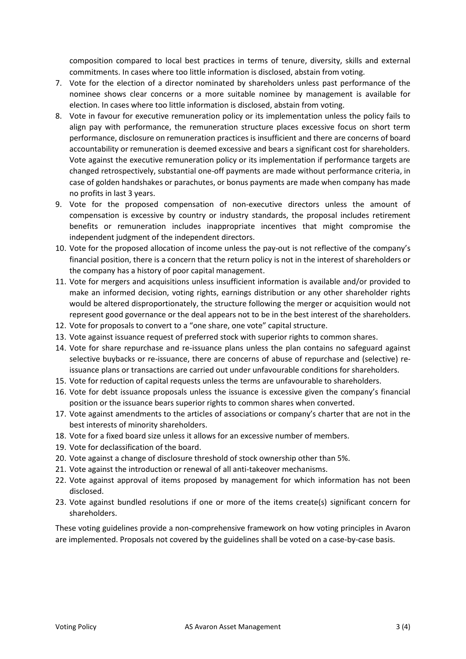composition compared to local best practices in terms of tenure, diversity, skills and external commitments. In cases where too little information is disclosed, abstain from voting.

- 7. Vote for the election of a director nominated by shareholders unless past performance of the nominee shows clear concerns or a more suitable nominee by management is available for election. In cases where too little information is disclosed, abstain from voting.
- 8. Vote in favour for executive remuneration policy or its implementation unless the policy fails to align pay with performance, the remuneration structure places excessive focus on short term performance, disclosure on remuneration practices is insufficient and there are concerns of board accountability or remuneration is deemed excessive and bears a significant cost for shareholders. Vote against the executive remuneration policy or its implementation if performance targets are changed retrospectively, substantial one-off payments are made without performance criteria, in case of golden handshakes or parachutes, or bonus payments are made when company has made no profits in last 3 years.
- 9. Vote for the proposed compensation of non-executive directors unless the amount of compensation is excessive by country or industry standards, the proposal includes retirement benefits or remuneration includes inappropriate incentives that might compromise the independent judgment of the independent directors.
- 10. Vote for the proposed allocation of income unless the pay-out is not reflective of the company's financial position, there is a concern that the return policy is not in the interest of shareholders or the company has a history of poor capital management.
- 11. Vote for mergers and acquisitions unless insufficient information is available and/or provided to make an informed decision, voting rights, earnings distribution or any other shareholder rights would be altered disproportionately, the structure following the merger or acquisition would not represent good governance or the deal appears not to be in the best interest of the shareholders.
- 12. Vote for proposals to convert to a "one share, one vote" capital structure.
- 13. Vote against issuance request of preferred stock with superior rights to common shares.
- 14. Vote for share repurchase and re-issuance plans unless the plan contains no safeguard against selective buybacks or re-issuance, there are concerns of abuse of repurchase and (selective) reissuance plans or transactions are carried out under unfavourable conditions for shareholders.
- 15. Vote for reduction of capital requests unless the terms are unfavourable to shareholders.
- 16. Vote for debt issuance proposals unless the issuance is excessive given the company's financial position or the issuance bears superior rights to common shares when converted.
- 17. Vote against amendments to the articles of associations or company's charter that are not in the best interests of minority shareholders.
- 18. Vote for a fixed board size unless it allows for an excessive number of members.
- 19. Vote for declassification of the board.
- 20. Vote against a change of disclosure threshold of stock ownership other than 5%.
- 21. Vote against the introduction or renewal of all anti-takeover mechanisms.
- 22. Vote against approval of items proposed by management for which information has not been disclosed.
- 23. Vote against bundled resolutions if one or more of the items create(s) significant concern for shareholders.

These voting guidelines provide a non-comprehensive framework on how voting principles in Avaron are implemented. Proposals not covered by the guidelines shall be voted on a case-by-case basis.